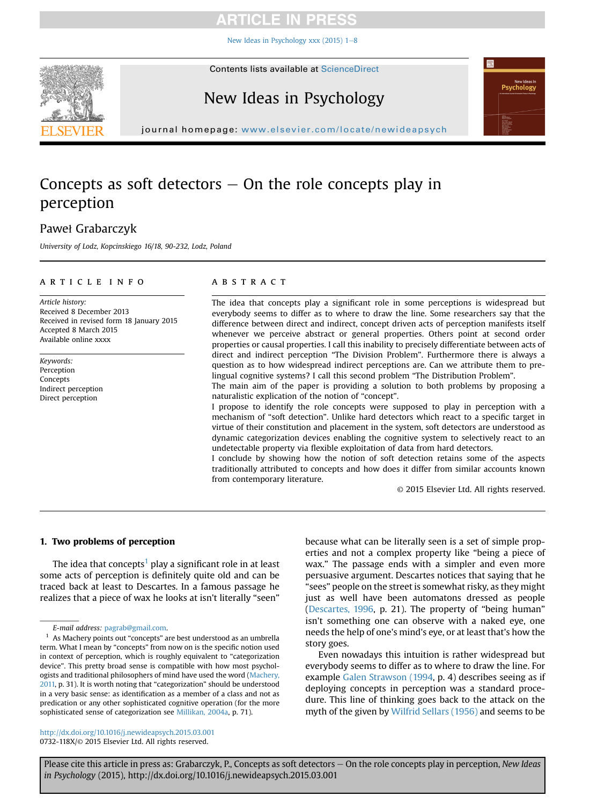### TICLE IN PRESS

New Ideas in Psychology xxx (2015)  $1-8$  $1-8$ 



Contents lists available at [ScienceDirect](www.sciencedirect.com/science/journal/0732118X)

# New Ideas in Psychology



journal homepage: [www.elsevier.com/locate/newideapsych](http://www.elsevier.com/locate/newideapsych)

## Concepts as soft detectors  $-$  On the role concepts play in perception

### Paweł Grabarczyk

University of Lodz, Kopcinskiego 16/18, 90-232, Lodz, Poland

#### article info

Article history: Received 8 December 2013 Received in revised form 18 January 2015 Accepted 8 March 2015 Available online xxxx

Keywords: Perception Concepts Indirect perception Direct perception

#### **ABSTRACT**

The idea that concepts play a significant role in some perceptions is widespread but everybody seems to differ as to where to draw the line. Some researchers say that the difference between direct and indirect, concept driven acts of perception manifests itself whenever we perceive abstract or general properties. Others point at second order properties or causal properties. I call this inability to precisely differentiate between acts of direct and indirect perception "The Division Problem". Furthermore there is always a question as to how widespread indirect perceptions are. Can we attribute them to prelingual cognitive systems? I call this second problem "The Distribution Problem".

The main aim of the paper is providing a solution to both problems by proposing a naturalistic explication of the notion of "concept".

I propose to identify the role concepts were supposed to play in perception with a mechanism of "soft detection". Unlike hard detectors which react to a specific target in virtue of their constitution and placement in the system, soft detectors are understood as dynamic categorization devices enabling the cognitive system to selectively react to an undetectable property via flexible exploitation of data from hard detectors.

I conclude by showing how the notion of soft detection retains some of the aspects traditionally attributed to concepts and how does it differ from similar accounts known from contemporary literature.

© 2015 Elsevier Ltd. All rights reserved.

#### 1. Two problems of perception

The idea that concepts<sup>1</sup> play a significant role in at least some acts of perception is definitely quite old and can be traced back at least to Descartes. In a famous passage he realizes that a piece of wax he looks at isn't literally "seen"

<http://dx.doi.org/10.1016/j.newideapsych.2015.03.001> 0732-118X/© 2015 Elsevier Ltd. All rights reserved.

because what can be literally seen is a set of simple properties and not a complex property like "being a piece of wax." The passage ends with a simpler and even more persuasive argument. Descartes notices that saying that he "sees" people on the street is somewhat risky, as they might just as well have been automatons dressed as people ([Descartes, 1996,](#page-6-0) p. 21). The property of "being human" isn't something one can observe with a naked eye, one needs the help of one's mind's eye, or at least that's how the story goes.

Even nowadays this intuition is rather widespread but everybody seems to differ as to where to draw the line. For example [Galen Strawson \(1994](#page-7-0), p. 4) describes seeing as if deploying concepts in perception was a standard procedure. This line of thinking goes back to the attack on the myth of the given by [Wilfrid Sellars \(1956\)](#page-6-0) and seems to be

E-mail address: [pagrab@gmail.com.](mailto:pagrab@gmail.com)

As Machery points out "concepts" are best understood as an umbrella term. What I mean by "concepts" from now on is the specific notion used in context of perception, which is roughly equivalent to "categorization device". This pretty broad sense is compatible with how most psychologists and traditional philosophers of mind have used the word [\(Machery,](#page-6-0) [2011,](#page-6-0) p. 31). It is worth noting that "categorization" should be understood in a very basic sense: as identification as a member of a class and not as predication or any other sophisticated cognitive operation (for the more sophisticated sense of categorization see [Millikan, 2004a,](#page-6-0) p. 71).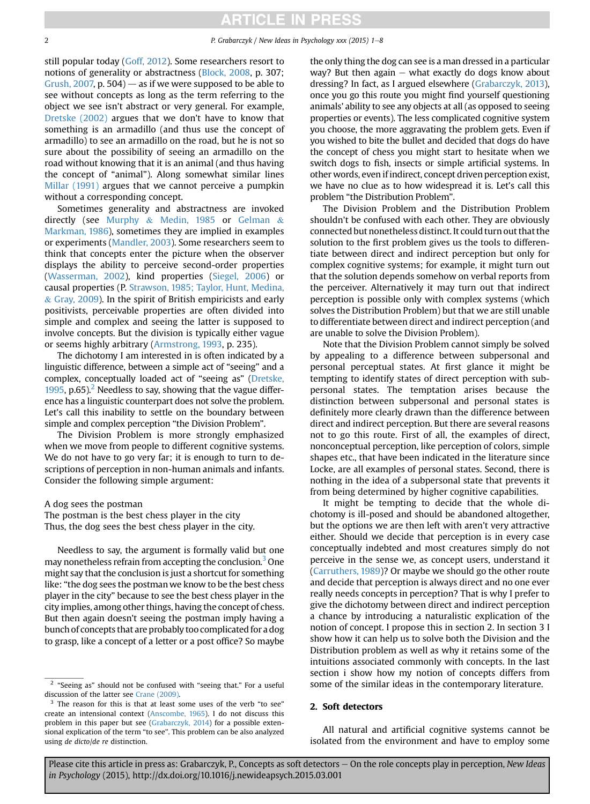still popular today ([Goff, 2012](#page-6-0)). Some researchers resort to notions of generality or abstractness [\(Block, 2008,](#page-6-0) p. 307; Grush,  $2007$ , p. 504)  $-$  as if we were supposed to be able to see without concepts as long as the term referring to the object we see isn't abstract or very general. For example, [Dretske \(2002\)](#page-6-0) argues that we don't have to know that something is an armadillo (and thus use the concept of armadillo) to see an armadillo on the road, but he is not so sure about the possibility of seeing an armadillo on the road without knowing that it is an animal (and thus having the concept of "animal"). Along somewhat similar lines [Millar \(1991\)](#page-6-0) argues that we cannot perceive a pumpkin without a corresponding concept.

Sometimes generality and abstractness are invoked directly (see [Murphy](#page-6-0) & [Medin, 1985](#page-6-0) or [Gelman](#page-6-0) & [Markman, 1986](#page-6-0)), sometimes they are implied in examples or experiments [\(Mandler, 2003\)](#page-6-0). Some researchers seem to think that concepts enter the picture when the observer displays the ability to perceive second-order properties [\(Wasserman, 2002](#page-7-0)), kind properties [\(Siegel, 2006](#page-6-0)) or causal properties (P. [Strawson, 1985; Taylor, Hunt, Medina,](#page-7-0) & [Gray, 2009](#page-7-0)). In the spirit of British empiricists and early positivists, perceivable properties are often divided into simple and complex and seeing the latter is supposed to involve concepts. But the division is typically either vague or seems highly arbitrary [\(Armstrong, 1993,](#page-6-0) p. 235).

The dichotomy I am interested in is often indicated by a linguistic difference, between a simple act of "seeing" and a complex, conceptually loaded act of "seeing as" [\(Dretske,](#page-6-0) [1995](#page-6-0), p.65).<sup>2</sup> Needless to say, showing that the vague difference has a linguistic counterpart does not solve the problem. Let's call this inability to settle on the boundary between simple and complex perception "the Division Problem".

The Division Problem is more strongly emphasized when we move from people to different cognitive systems. We do not have to go very far; it is enough to turn to descriptions of perception in non-human animals and infants. Consider the following simple argument:

A dog sees the postman

The postman is the best chess player in the city Thus, the dog sees the best chess player in the city.

Needless to say, the argument is formally valid but one may nonetheless refrain from accepting the conclusion.<sup>3</sup> One might say that the conclusion is just a shortcut for something like: "the dog sees the postman we know to be the best chess player in the city" because to see the best chess player in the city implies, among other things, having the concept of chess. But then again doesn't seeing the postman imply having a bunch of concepts that are probably too complicated for a dog to grasp, like a concept of a letter or a post office? So maybe

the only thing the dog can see is a man dressed in a particular way? But then again  $-$  what exactly do dogs know about dressing? In fact, as I argued elsewhere ([Grabarczyk, 2013\)](#page-6-0), once you go this route you might find yourself questioning animals' ability to see any objects at all (as opposed to seeing properties or events). The less complicated cognitive system you choose, the more aggravating the problem gets. Even if you wished to bite the bullet and decided that dogs do have the concept of chess you might start to hesitate when we switch dogs to fish, insects or simple artificial systems. In other words, even if indirect, concept driven perception exist, we have no clue as to how widespread it is. Let's call this problem "the Distribution Problem".

The Division Problem and the Distribution Problem shouldn't be confused with each other. They are obviously connected but nonetheless distinct. It could turn out that the solution to the first problem gives us the tools to differentiate between direct and indirect perception but only for complex cognitive systems; for example, it might turn out that the solution depends somehow on verbal reports from the perceiver. Alternatively it may turn out that indirect perception is possible only with complex systems (which solves the Distribution Problem) but that we are still unable to differentiate between direct and indirect perception (and are unable to solve the Division Problem).

Note that the Division Problem cannot simply be solved by appealing to a difference between subpersonal and personal perceptual states. At first glance it might be tempting to identify states of direct perception with subpersonal states. The temptation arises because the distinction between subpersonal and personal states is definitely more clearly drawn than the difference between direct and indirect perception. But there are several reasons not to go this route. First of all, the examples of direct, nonconceptual perception, like perception of colors, simple shapes etc., that have been indicated in the literature since Locke, are all examples of personal states. Second, there is nothing in the idea of a subpersonal state that prevents it from being determined by higher cognitive capabilities.

It might be tempting to decide that the whole dichotomy is ill-posed and should be abandoned altogether, but the options we are then left with aren't very attractive either. Should we decide that perception is in every case conceptually indebted and most creatures simply do not perceive in the sense we, as concept users, understand it [\(Carruthers, 1989](#page-6-0))? Or maybe we should go the other route and decide that perception is always direct and no one ever really needs concepts in perception? That is why I prefer to give the dichotomy between direct and indirect perception a chance by introducing a naturalistic explication of the notion of concept. I propose this in section 2. In section 3 I show how it can help us to solve both the Division and the Distribution problem as well as why it retains some of the intuitions associated commonly with concepts. In the last section i show how my notion of concepts differs from some of the similar ideas in the contemporary literature.

#### 2. Soft detectors

All natural and artificial cognitive systems cannot be isolated from the environment and have to employ some

<sup>&</sup>lt;sup>2</sup> "Seeing as" should not be confused with "seeing that." For a useful discussion of the latter see [Crane \(2009\)](#page-6-0).

 $3$  The reason for this is that at least some uses of the verb "to see" create an intensional context ([Anscombe, 1965](#page-6-0)). I do not discuss this problem in this paper but see [\(Grabarczyk, 2014\)](#page-6-0) for a possible extensional explication of the term "to see". This problem can be also analyzed using de dicto/de re distinction.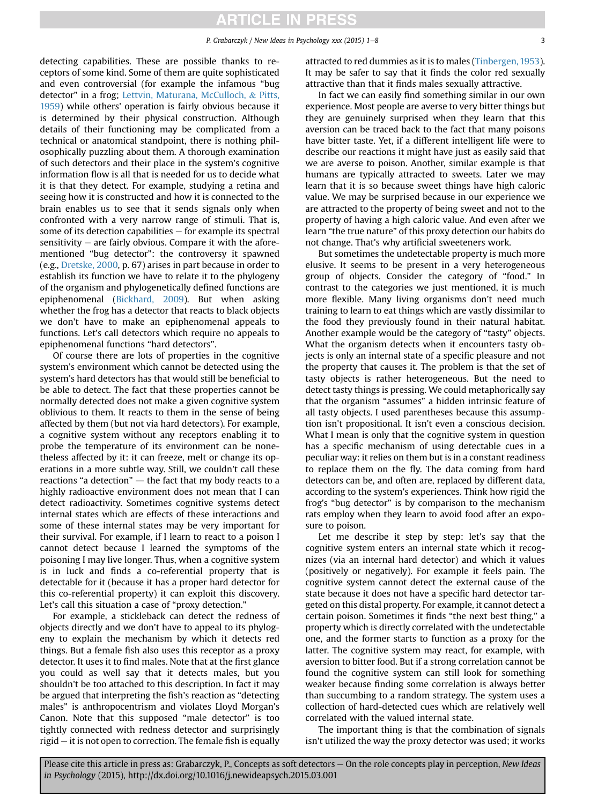detecting capabilities. These are possible thanks to receptors of some kind. Some of them are quite sophisticated and even controversial (for example the infamous "bug detector" in a frog; [Lettvin, Maturana, McCulloch,](#page-6-0) & [Pitts,](#page-6-0) [1959](#page-6-0)) while others' operation is fairly obvious because it is determined by their physical construction. Although details of their functioning may be complicated from a technical or anatomical standpoint, there is nothing philosophically puzzling about them. A thorough examination of such detectors and their place in the system's cognitive information flow is all that is needed for us to decide what it is that they detect. For example, studying a retina and seeing how it is constructed and how it is connected to the brain enables us to see that it sends signals only when confronted with a very narrow range of stimuli. That is, some of its detection capabilities  $-$  for example its spectral sensitivity  $-$  are fairly obvious. Compare it with the aforementioned "bug detector": the controversy it spawned (e.g., [Dretske, 2000,](#page-6-0) p. 67) arises in part because in order to establish its function we have to relate it to the phylogeny of the organism and phylogenetically defined functions are epiphenomenal [\(Bickhard, 2009\)](#page-6-0). But when asking whether the frog has a detector that reacts to black objects we don't have to make an epiphenomenal appeals to functions. Let's call detectors which require no appeals to epiphenomenal functions "hard detectors".

Of course there are lots of properties in the cognitive system's environment which cannot be detected using the system's hard detectors has that would still be beneficial to be able to detect. The fact that these properties cannot be normally detected does not make a given cognitive system oblivious to them. It reacts to them in the sense of being affected by them (but not via hard detectors). For example, a cognitive system without any receptors enabling it to probe the temperature of its environment can be nonetheless affected by it: it can freeze, melt or change its operations in a more subtle way. Still, we couldn't call these reactions "a detection"  $-$  the fact that my body reacts to a highly radioactive environment does not mean that I can detect radioactivity. Sometimes cognitive systems detect internal states which are effects of these interactions and some of these internal states may be very important for their survival. For example, if I learn to react to a poison I cannot detect because I learned the symptoms of the poisoning I may live longer. Thus, when a cognitive system is in luck and finds a co-referential property that is detectable for it (because it has a proper hard detector for this co-referential property) it can exploit this discovery. Let's call this situation a case of "proxy detection."

For example, a stickleback can detect the redness of objects directly and we don't have to appeal to its phylogeny to explain the mechanism by which it detects red things. But a female fish also uses this receptor as a proxy detector. It uses it to find males. Note that at the first glance you could as well say that it detects males, but you shouldn't be too attached to this description. In fact it may be argued that interpreting the fish's reaction as "detecting males" is anthropocentrism and violates Lloyd Morgan's Canon. Note that this supposed "male detector" is too tightly connected with redness detector and surprisingly  $rigid - it$  is not open to correction. The female fish is equally

attracted to red dummies as it is to males ([Tinbergen, 1953](#page-7-0)). It may be safer to say that it finds the color red sexually attractive than that it finds males sexually attractive.

In fact we can easily find something similar in our own experience. Most people are averse to very bitter things but they are genuinely surprised when they learn that this aversion can be traced back to the fact that many poisons have bitter taste. Yet, if a different intelligent life were to describe our reactions it might have just as easily said that we are averse to poison. Another, similar example is that humans are typically attracted to sweets. Later we may learn that it is so because sweet things have high caloric value. We may be surprised because in our experience we are attracted to the property of being sweet and not to the property of having a high caloric value. And even after we learn "the true nature" of this proxy detection our habits do not change. That's why artificial sweeteners work.

But sometimes the undetectable property is much more elusive. It seems to be present in a very heterogeneous group of objects. Consider the category of "food." In contrast to the categories we just mentioned, it is much more flexible. Many living organisms don't need much training to learn to eat things which are vastly dissimilar to the food they previously found in their natural habitat. Another example would be the category of "tasty" objects. What the organism detects when it encounters tasty objects is only an internal state of a specific pleasure and not the property that causes it. The problem is that the set of tasty objects is rather heterogeneous. But the need to detect tasty things is pressing. We could metaphorically say that the organism "assumes" a hidden intrinsic feature of all tasty objects. I used parentheses because this assumption isn't propositional. It isn't even a conscious decision. What I mean is only that the cognitive system in question has a specific mechanism of using detectable cues in a peculiar way: it relies on them but is in a constant readiness to replace them on the fly. The data coming from hard detectors can be, and often are, replaced by different data, according to the system's experiences. Think how rigid the frog's "bug detector" is by comparison to the mechanism rats employ when they learn to avoid food after an exposure to poison.

Let me describe it step by step: let's say that the cognitive system enters an internal state which it recognizes (via an internal hard detector) and which it values (positively or negatively). For example it feels pain. The cognitive system cannot detect the external cause of the state because it does not have a specific hard detector targeted on this distal property. For example, it cannot detect a certain poison. Sometimes it finds "the next best thing," a property which is directly correlated with the undetectable one, and the former starts to function as a proxy for the latter. The cognitive system may react, for example, with aversion to bitter food. But if a strong correlation cannot be found the cognitive system can still look for something weaker because finding some correlation is always better than succumbing to a random strategy. The system uses a collection of hard-detected cues which are relatively well correlated with the valued internal state.

The important thing is that the combination of signals isn't utilized the way the proxy detector was used; it works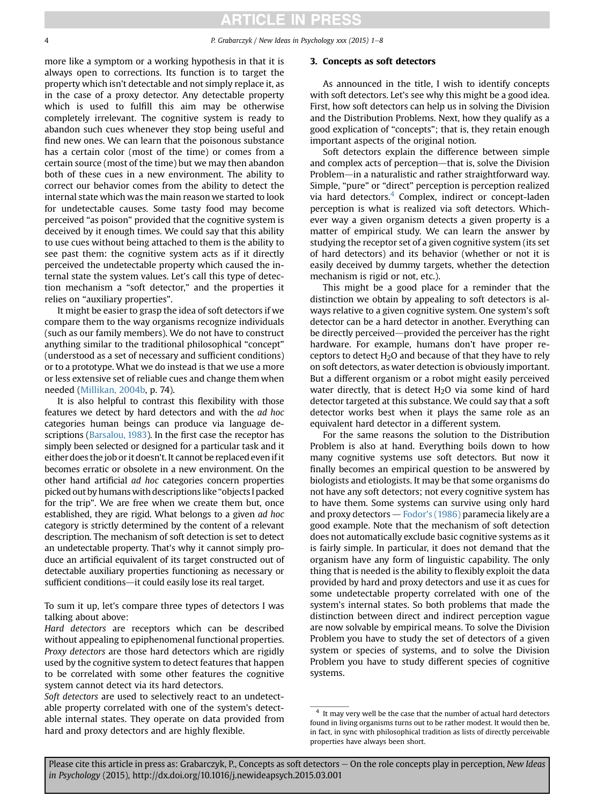P. Grabarczyk / New Ideas in Psychology xxx (2015)  $1-8$ 

more like a symptom or a working hypothesis in that it is always open to corrections. Its function is to target the property which isn't detectable and not simply replace it, as in the case of a proxy detector. Any detectable property which is used to fulfill this aim may be otherwise completely irrelevant. The cognitive system is ready to abandon such cues whenever they stop being useful and find new ones. We can learn that the poisonous substance has a certain color (most of the time) or comes from a certain source (most of the time) but we may then abandon both of these cues in a new environment. The ability to correct our behavior comes from the ability to detect the internal state which was the main reason we started to look for undetectable causes. Some tasty food may become perceived "as poison" provided that the cognitive system is deceived by it enough times. We could say that this ability to use cues without being attached to them is the ability to see past them: the cognitive system acts as if it directly perceived the undetectable property which caused the internal state the system values. Let's call this type of detection mechanism a "soft detector," and the properties it relies on "auxiliary properties".

It might be easier to grasp the idea of soft detectors if we compare them to the way organisms recognize individuals (such as our family members). We do not have to construct anything similar to the traditional philosophical "concept" (understood as a set of necessary and sufficient conditions) or to a prototype. What we do instead is that we use a more or less extensive set of reliable cues and change them when needed [\(Millikan, 2004b,](#page-6-0) p. 74).

It is also helpful to contrast this flexibility with those features we detect by hard detectors and with the ad hoc categories human beings can produce via language de-scriptions [\(Barsalou, 1983\)](#page-6-0). In the first case the receptor has simply been selected or designed for a particular task and it either does the job or it doesn't. It cannot be replaced even if it becomes erratic or obsolete in a new environment. On the other hand artificial ad hoc categories concern properties picked out by humans with descriptionslike "objects I packed for the trip". We are free when we create them but, once established, they are rigid. What belongs to a given ad hoc category is strictly determined by the content of a relevant description. The mechanism of soft detection is set to detect an undetectable property. That's why it cannot simply produce an artificial equivalent of its target constructed out of detectable auxiliary properties functioning as necessary or sufficient conditions-it could easily lose its real target.

To sum it up, let's compare three types of detectors I was talking about above:

Hard detectors are receptors which can be described without appealing to epiphenomenal functional properties. Proxy detectors are those hard detectors which are rigidly used by the cognitive system to detect features that happen to be correlated with some other features the cognitive system cannot detect via its hard detectors.

Soft detectors are used to selectively react to an undetectable property correlated with one of the system's detectable internal states. They operate on data provided from hard and proxy detectors and are highly flexible.

#### 3. Concepts as soft detectors

As announced in the title, I wish to identify concepts with soft detectors. Let's see why this might be a good idea. First, how soft detectors can help us in solving the Division and the Distribution Problems. Next, how they qualify as a good explication of "concepts"; that is, they retain enough important aspects of the original notion.

Soft detectors explain the difference between simple and complex acts of perception—that is, solve the Division Problem—in a naturalistic and rather straightforward way. Simple, "pure" or "direct" perception is perception realized via hard detectors. $4$  Complex, indirect or concept-laden perception is what is realized via soft detectors. Whichever way a given organism detects a given property is a matter of empirical study. We can learn the answer by studying the receptor set of a given cognitive system (its set of hard detectors) and its behavior (whether or not it is easily deceived by dummy targets, whether the detection mechanism is rigid or not, etc.).

This might be a good place for a reminder that the distinction we obtain by appealing to soft detectors is always relative to a given cognitive system. One system's soft detector can be a hard detector in another. Everything can be directly perceived—provided the perceiver has the right hardware. For example, humans don't have proper receptors to detect  $H<sub>2</sub>O$  and because of that they have to rely on soft detectors, as water detection is obviously important. But a different organism or a robot might easily perceived water directly, that is detect  $H<sub>2</sub>O$  via some kind of hard detector targeted at this substance. We could say that a soft detector works best when it plays the same role as an equivalent hard detector in a different system.

For the same reasons the solution to the Distribution Problem is also at hand. Everything boils down to how many cognitive systems use soft detectors. But now it finally becomes an empirical question to be answered by biologists and etiologists. It may be that some organisms do not have any soft detectors; not every cognitive system has to have them. Some systems can survive using only hard and proxy detectors  $-$  [Fodor's \(1986\)](#page-6-0) paramecia likely are a good example. Note that the mechanism of soft detection does not automatically exclude basic cognitive systems as it is fairly simple. In particular, it does not demand that the organism have any form of linguistic capability. The only thing that is needed is the ability to flexibly exploit the data provided by hard and proxy detectors and use it as cues for some undetectable property correlated with one of the system's internal states. So both problems that made the distinction between direct and indirect perception vague are now solvable by empirical means. To solve the Division Problem you have to study the set of detectors of a given system or species of systems, and to solve the Division Problem you have to study different species of cognitive systems.

 $4\,$  It may very well be the case that the number of actual hard detectors found in living organisms turns out to be rather modest. It would then be, in fact, in sync with philosophical tradition as lists of directly perceivable properties have always been short.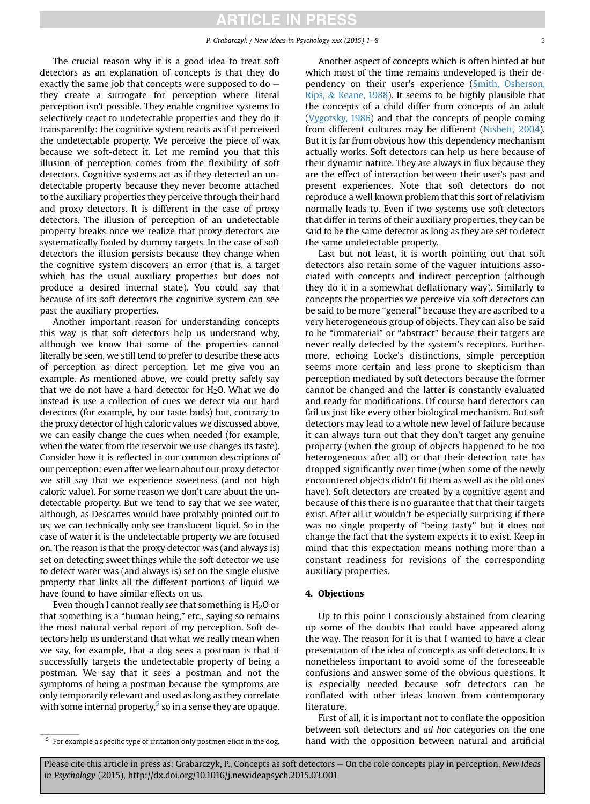The crucial reason why it is a good idea to treat soft detectors as an explanation of concepts is that they do exactly the same job that concepts were supposed to do  $$ they create a surrogate for perception where literal perception isn't possible. They enable cognitive systems to selectively react to undetectable properties and they do it transparently: the cognitive system reacts as if it perceived the undetectable property. We perceive the piece of wax because we soft-detect it. Let me remind you that this illusion of perception comes from the flexibility of soft detectors. Cognitive systems act as if they detected an undetectable property because they never become attached to the auxiliary properties they perceive through their hard and proxy detectors. It is different in the case of proxy detectors. The illusion of perception of an undetectable property breaks once we realize that proxy detectors are systematically fooled by dummy targets. In the case of soft detectors the illusion persists because they change when the cognitive system discovers an error (that is, a target which has the usual auxiliary properties but does not produce a desired internal state). You could say that because of its soft detectors the cognitive system can see past the auxiliary properties.

Another important reason for understanding concepts this way is that soft detectors help us understand why, although we know that some of the properties cannot literally be seen, we still tend to prefer to describe these acts of perception as direct perception. Let me give you an example. As mentioned above, we could pretty safely say that we do not have a hard detector for  $H_2O$ . What we do instead is use a collection of cues we detect via our hard detectors (for example, by our taste buds) but, contrary to the proxy detector of high caloric values we discussed above, we can easily change the cues when needed (for example, when the water from the reservoir we use changes its taste). Consider how it is reflected in our common descriptions of our perception: even after we learn about our proxy detector we still say that we experience sweetness (and not high caloric value). For some reason we don't care about the undetectable property. But we tend to say that we see water, although, as Descartes would have probably pointed out to us, we can technically only see translucent liquid. So in the case of water it is the undetectable property we are focused on. The reason is that the proxy detector was (and always is) set on detecting sweet things while the soft detector we use to detect water was (and always is) set on the single elusive property that links all the different portions of liquid we have found to have similar effects on us.

Even though I cannot really see that something is  $H_2O$  or that something is a "human being," etc., saying so remains the most natural verbal report of my perception. Soft detectors help us understand that what we really mean when we say, for example, that a dog sees a postman is that it successfully targets the undetectable property of being a postman. We say that it sees a postman and not the symptoms of being a postman because the symptoms are only temporarily relevant and used as long as they correlate with some internal property, $5$  so in a sense they are opaque.

Another aspect of concepts which is often hinted at but which most of the time remains undeveloped is their dependency on their user's experience ([Smith, Osherson,](#page-7-0) [Rips,](#page-7-0) & [Keane, 1988](#page-7-0)). It seems to be highly plausible that the concepts of a child differ from concepts of an adult ([Vygotsky, 1986\)](#page-7-0) and that the concepts of people coming from different cultures may be different [\(Nisbett, 2004](#page-6-0)). But it is far from obvious how this dependency mechanism actually works. Soft detectors can help us here because of their dynamic nature. They are always in flux because they are the effect of interaction between their user's past and present experiences. Note that soft detectors do not reproduce a well known problem that this sort of relativism normally leads to. Even if two systems use soft detectors that differ in terms of their auxiliary properties, they can be said to be the same detector as long as they are set to detect the same undetectable property.

Last but not least, it is worth pointing out that soft detectors also retain some of the vaguer intuitions associated with concepts and indirect perception (although they do it in a somewhat deflationary way). Similarly to concepts the properties we perceive via soft detectors can be said to be more "general" because they are ascribed to a very heterogeneous group of objects. They can also be said to be "immaterial" or "abstract" because their targets are never really detected by the system's receptors. Furthermore, echoing Locke's distinctions, simple perception seems more certain and less prone to skepticism than perception mediated by soft detectors because the former cannot be changed and the latter is constantly evaluated and ready for modifications. Of course hard detectors can fail us just like every other biological mechanism. But soft detectors may lead to a whole new level of failure because it can always turn out that they don't target any genuine property (when the group of objects happened to be too heterogeneous after all) or that their detection rate has dropped significantly over time (when some of the newly encountered objects didn't fit them as well as the old ones have). Soft detectors are created by a cognitive agent and because of this there is no guarantee that that their targets exist. After all it wouldn't be especially surprising if there was no single property of "being tasty" but it does not change the fact that the system expects it to exist. Keep in mind that this expectation means nothing more than a constant readiness for revisions of the corresponding auxiliary properties.

#### 4. Objections

Up to this point I consciously abstained from clearing up some of the doubts that could have appeared along the way. The reason for it is that I wanted to have a clear presentation of the idea of concepts as soft detectors. It is nonetheless important to avoid some of the foreseeable confusions and answer some of the obvious questions. It is especially needed because soft detectors can be conflated with other ideas known from contemporary literature.

First of all, it is important not to conflate the opposition between soft detectors and ad hoc categories on the one <sup>5</sup> For example a specific type of irritation only postmen elicit in the dog. **hand with the opposition between natural and artificial**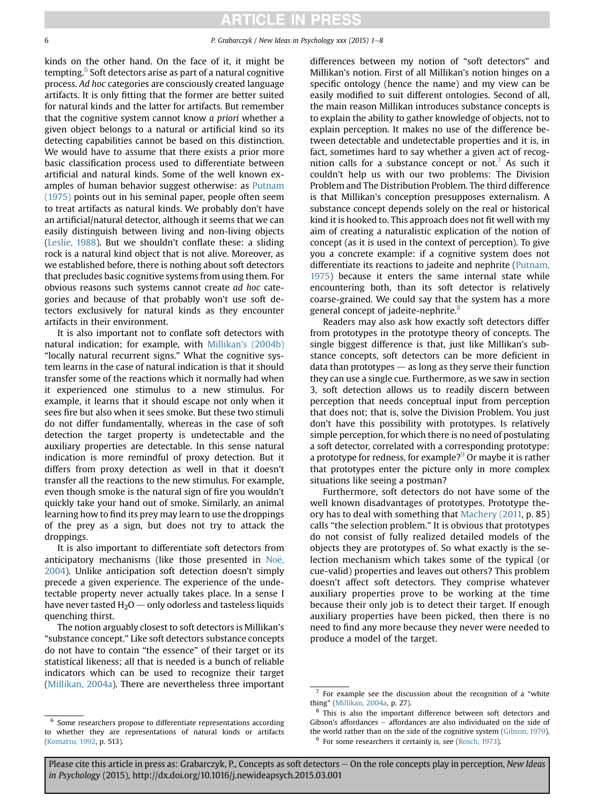kinds on the other hand. On the face of it, it might be tempting.<sup>6</sup> Soft detectors arise as part of a natural cognitive process. Ad hoc categories are consciously created language artifacts. It is only fitting that the former are better suited for natural kinds and the latter for artifacts. But remember that the cognitive system cannot know a priori whether a given object belongs to a natural or artificial kind so its detecting capabilities cannot be based on this distinction. We would have to assume that there exists a prior more basic classification process used to differentiate between artificial and natural kinds. Some of the well known ex-amples of human behavior suggest otherwise: as [Putnam](#page-6-0) [\(1975\)](#page-6-0) points out in his seminal paper, people often seem to treat artifacts as natural kinds. We probably don't have an artificial/natural detector, although it seems that we can easily distinguish between living and non-living objects [\(Leslie, 1988\)](#page-6-0). But we shouldn't conflate these: a sliding rock is a natural kind object that is not alive. Moreover, as we established before, there is nothing about soft detectors that precludes basic cognitive systems from using them. For obvious reasons such systems cannot create ad hoc categories and because of that probably won't use soft detectors exclusively for natural kinds as they encounter artifacts in their environment.

It is also important not to conflate soft detectors with natural indication; for example, with [Millikan's \(2004b\)](#page-6-0) "locally natural recurrent signs." What the cognitive system learns in the case of natural indication is that it should transfer some of the reactions which it normally had when it experienced one stimulus to a new stimulus. For example, it learns that it should escape not only when it sees fire but also when it sees smoke. But these two stimuli do not differ fundamentally, whereas in the case of soft detection the target property is undetectable and the auxiliary properties are detectable. In this sense natural indication is more remindful of proxy detection. But it differs from proxy detection as well in that it doesn't transfer all the reactions to the new stimulus. For example, even though smoke is the natural sign of fire you wouldn't quickly take your hand out of smoke. Similarly, an animal learning how to find its prey may learn to use the droppings of the prey as a sign, but does not try to attack the droppings.

It is also important to differentiate soft detectors from anticipatory mechanisms (like those presented in  $No\ddot{e}$ , [2004](#page-6-0)). Unlike anticipation soft detection doesn't simply precede a given experience. The experience of the undetectable property never actually takes place. In a sense I have never tasted  $H_2O$  – only odorless and tasteless liquids quenching thirst.

The notion arguably closest to soft detectors is Millikan's "substance concept." Like soft detectors substance concepts do not have to contain "the essence" of their target or its statistical likeness; all that is needed is a bunch of reliable indicators which can be used to recognize their target [\(Millikan, 2004a\)](#page-6-0). There are nevertheless three important differences between my notion of "soft detectors" and Millikan's notion. First of all Millikan's notion hinges on a specific ontology (hence the name) and my view can be easily modified to suit different ontologies. Second of all, the main reason Millikan introduces substance concepts is to explain the ability to gather knowledge of objects, not to explain perception. It makes no use of the difference between detectable and undetectable properties and it is, in fact, sometimes hard to say whether a given act of recognition calls for a substance concept or not.<sup>7</sup> As such it couldn't help us with our two problems: The Division Problem and The Distribution Problem. The third difference is that Millikan's conception presupposes externalism. A substance concept depends solely on the real or historical kind it is hooked to. This approach does not fit well with my aim of creating a naturalistic explication of the notion of concept (as it is used in the context of perception). To give you a concrete example: if a cognitive system does not differentiate its reactions to jadeite and nephrite [\(Putnam,](#page-6-0) [1975](#page-6-0)) because it enters the same internal state while encountering both, than its soft detector is relatively coarse-grained. We could say that the system has a more general concept of jadeite-nephrite.<sup>8</sup>

Readers may also ask how exactly soft detectors differ from prototypes in the prototype theory of concepts. The single biggest difference is that, just like Millikan's substance concepts, soft detectors can be more deficient in data than prototypes  $-$  as long as they serve their function they can use a single cue. Furthermore, as we saw in section 3, soft detection allows us to readily discern between perception that needs conceptual input from perception that does not; that is, solve the Division Problem. You just don't have this possibility with prototypes. Is relatively simple perception, for which there is no need of postulating a soft detector, correlated with a corresponding prototype: a prototype for redness, for example?<sup>9</sup> Or maybe it is rather that prototypes enter the picture only in more complex situations like seeing a postman?

Furthermore, soft detectors do not have some of the well known disadvantages of prototypes. Prototype theory has to deal with something that [Machery \(2011,](#page-6-0) p. 85) calls "the selection problem." It is obvious that prototypes do not consist of fully realized detailed models of the objects they are prototypes of. So what exactly is the selection mechanism which takes some of the typical (or cue-valid) properties and leaves out others? This problem doesn't affect soft detectors. They comprise whatever auxiliary properties prove to be working at the time because their only job is to detect their target. If enough auxiliary properties have been picked, then there is no need to find any more because they never were needed to produce a model of the target.

 $6$  Some researchers propose to differentiate representations according to whether they are representations of natural kinds or artifacts ([Komatsu, 1992](#page-6-0), p. 513).

For example see the discussion about the recognition of a "white thing" ([Millikan, 2004a](#page-6-0), p. 27).

This is also the important difference between soft detectors and Gibson's affordances  $-$  affordances are also individuated on the side of the world rather than on the side of the cognitive system ([Gibson, 1979](#page-6-0)). <sup>9</sup> For some researchers it certainly is, see [\(Rosch, 1973\)](#page-6-0).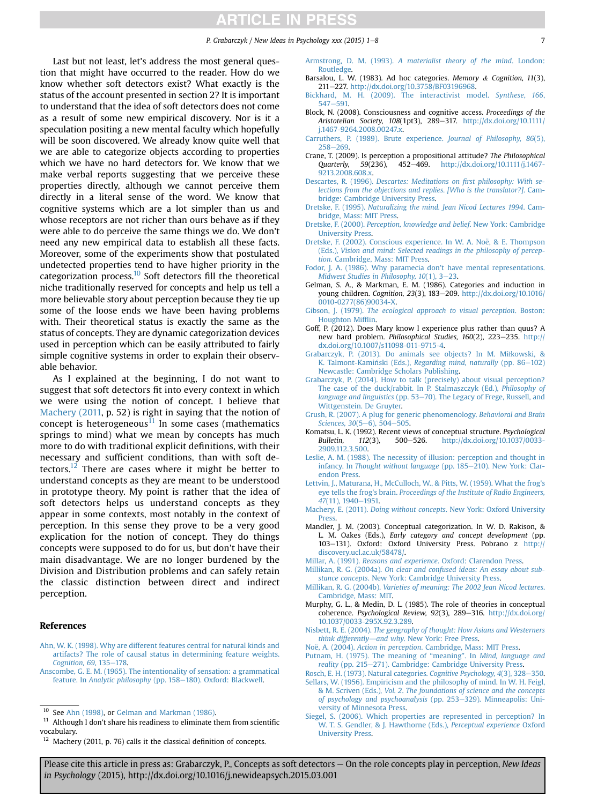## **ARTICLE IN PRESS**

P. Grabarczyk / New Ideas in Psychology xxx (2015)  $1-8$  7

<span id="page-6-0"></span>Last but not least, let's address the most general question that might have occurred to the reader. How do we know whether soft detectors exist? What exactly is the status of the account presented in section 2? It is important to understand that the idea of soft detectors does not come as a result of some new empirical discovery. Nor is it a speculation positing a new mental faculty which hopefully will be soon discovered. We already know quite well that we are able to categorize objects according to properties which we have no hard detectors for. We know that we make verbal reports suggesting that we perceive these properties directly, although we cannot perceive them directly in a literal sense of the word. We know that cognitive systems which are a lot simpler than us and whose receptors are not richer than ours behave as if they were able to do perceive the same things we do. We don't need any new empirical data to establish all these facts. Moreover, some of the experiments show that postulated undetected properties tend to have higher priority in the categorization process. $10$  Soft detectors fill the theoretical niche traditionally reserved for concepts and help us tell a more believable story about perception because they tie up some of the loose ends we have been having problems with. Their theoretical status is exactly the same as the status of concepts. They are dynamic categorization devices used in perception which can be easily attributed to fairly simple cognitive systems in order to explain their observable behavior.

As I explained at the beginning, I do not want to suggest that soft detectors fit into every context in which we were using the notion of concept. I believe that Machery (2011, p. 52) is right in saying that the notion of concept is heterogeneous<sup>11</sup> In some cases (mathematics springs to mind) what we mean by concepts has much more to do with traditional explicit definitions, with their necessary and sufficient conditions, than with soft detectors.<sup>12</sup> There are cases where it might be better to understand concepts as they are meant to be understood in prototype theory. My point is rather that the idea of soft detectors helps us understand concepts as they appear in some contexts, most notably in the context of perception. In this sense they prove to be a very good explication for the notion of concept. They do things concepts were supposed to do for us, but don't have their main disadvantage. We are no longer burdened by the Division and Distribution problems and can safely retain the classic distinction between direct and indirect perception.

#### References

- [Ahn, W. K. \(1998\). Why are different features central for natural kinds and](http://refhub.elsevier.com/S0732-118X(15)00019-7/sref1) [artifacts? The role of causal status in determining feature weights.](http://refhub.elsevier.com/S0732-118X(15)00019-7/sref1) [Cognition, 69](http://refhub.elsevier.com/S0732-118X(15)00019-7/sref1), 135-[178](http://refhub.elsevier.com/S0732-118X(15)00019-7/sref1).
- [Anscombe, G. E. M. \(1965\). The intentionality of sensation: a grammatical](http://refhub.elsevier.com/S0732-118X(15)00019-7/sref2) feature. In [Analytic philosophy](http://refhub.elsevier.com/S0732-118X(15)00019-7/sref2) (pp. 158-[180\). Oxford: Blackwell](http://refhub.elsevier.com/S0732-118X(15)00019-7/sref2).

- $^{11}\,$  Although I don't share his readiness to eliminate them from scientific vocabulary.
- <sup>12</sup> Machery (2011, p. 76) calls it the classical definition of concepts.
- Armstrong, D. M. (1993). [A materialist theory of the mind](http://refhub.elsevier.com/S0732-118X(15)00019-7/sref3). London: [Routledge](http://refhub.elsevier.com/S0732-118X(15)00019-7/sref3).
- Barsalou, L. W. (1983). Ad hoc categories. Memory & Cognition, 11(3), 211-227. [http://dx.doi.org/10.3758/BF03196968.](http://dx.doi.org/10.3758/BF03196968)
- [Bickhard, M. H. \(2009\). The interactivist model.](http://refhub.elsevier.com/S0732-118X(15)00019-7/sref5) Synthese, 166,  $547 - 591.$  $547 - 591.$  $547 - 591.$
- Block, N. (2008). Consciousness and cognitive access. Proceedings of the Aristotelian Society, 108(1pt3), 289-317. [http://dx.doi.org/10.1111/](http://dx.doi.org/10.1111/j.1467-9264.2008.00247.x) j.1467-9264.2008.00247 x
- [Carruthers, P. \(1989\). Brute experience.](http://refhub.elsevier.com/S0732-118X(15)00019-7/sref7) Journal of Philosophy, 86(5),  $258 - 269.$  $258 - 269.$  $258 - 269.$
- Crane, T. (2009). Is perception a propositional attitude? The Philosophical Quarterly, 59(236), 452-469. [http://dx.doi.org/10.1111/j.1467-](http://dx.doi.org/10.1111/j.1467-9213.2008.608.x) [9213.2008.608.x](http://dx.doi.org/10.1111/j.1467-9213.2008.608.x).
- Descartes, R. (1996). [Descartes: Meditations on](http://refhub.elsevier.com/S0732-118X(15)00019-7/sref9) first philosophy: With se[lections from the objections and replies. \[Who is the translator?\]](http://refhub.elsevier.com/S0732-118X(15)00019-7/sref9). Cam[bridge: Cambridge University Press](http://refhub.elsevier.com/S0732-118X(15)00019-7/sref9).
- Dretske, F. (1995). [Naturalizing the mind. Jean Nicod Lectures 1994](http://refhub.elsevier.com/S0732-118X(15)00019-7/sref41). Cam[bridge, Mass: MIT Press](http://refhub.elsevier.com/S0732-118X(15)00019-7/sref41).
- Dretske, F. (2000). [Perception, knowledge and belief](http://refhub.elsevier.com/S0732-118X(15)00019-7/sref10). New York: Cambridge [University Press.](http://refhub.elsevier.com/S0732-118X(15)00019-7/sref10)
- [Dretske, F. \(2002\). Conscious experience. In W. A. No](http://refhub.elsevier.com/S0732-118X(15)00019-7/sref11)ë[, & E. Thompson](http://refhub.elsevier.com/S0732-118X(15)00019-7/sref11) (Eds.), [Vision and mind: Selected readings in the philosophy of percep](http://refhub.elsevier.com/S0732-118X(15)00019-7/sref11)tion[. Cambridge, Mass: MIT Press.](http://refhub.elsevier.com/S0732-118X(15)00019-7/sref11)
- [Fodor, J. A. \(1986\). Why paramecia don't have mental representations.](http://refhub.elsevier.com/S0732-118X(15)00019-7/sref12) Midwest Studies in Philosophy,  $10(1)$ ,  $3-23$ .
- Gelman, S. A., & Markman, E. M. (1986). Categories and induction in young children. Cognition, 23(3), 183-209. [http://dx.doi.org/10.1016/](http://dx.doi.org/10.1016/0010-0277(86)90034-X) [0010-0277\(86\)90034-X](http://dx.doi.org/10.1016/0010-0277(86)90034-X).
- Gibson, J. (1979). [The ecological approach to visual perception](http://refhub.elsevier.com/S0732-118X(15)00019-7/sref14). Boston: [Houghton Mif](http://refhub.elsevier.com/S0732-118X(15)00019-7/sref14)flin.
- Goff, P. (2012). Does Mary know I experience plus rather than quus? A new hard problem. Philosophical Studies, 160(2), 223-235. [http://](http://dx.doi.org/10.1007/s11098-011-9715-4) [dx.doi.org/10.1007/s11098-011-9715-4](http://dx.doi.org/10.1007/s11098-011-9715-4).
- [Grabarczyk, P. \(2013\). Do animals see objects? In M. Mi](http://refhub.elsevier.com/S0732-118X(15)00019-7/sref16)łkowski, & K. Talmont-Kamiński (Eds.), [Regarding mind, naturally](http://refhub.elsevier.com/S0732-118X(15)00019-7/sref16) (pp. 86-[102\)](http://refhub.elsevier.com/S0732-118X(15)00019-7/sref16) [Newcastle: Cambridge Scholars Publishing](http://refhub.elsevier.com/S0732-118X(15)00019-7/sref16).
- [Grabarczyk, P. \(2014\). How to talk \(precisely\) about visual perception?](http://refhub.elsevier.com/S0732-118X(15)00019-7/sref17) [The case of the duck/rabbit. In P. Stalmaszczyk \(Ed.\),](http://refhub.elsevier.com/S0732-118X(15)00019-7/sref17) Philosophy of [language and linguistics](http://refhub.elsevier.com/S0732-118X(15)00019-7/sref17) (pp. 53-[70\). The Legacy of Frege, Russell, and](http://refhub.elsevier.com/S0732-118X(15)00019-7/sref17) [Wittgenstein. De Gruyter.](http://refhub.elsevier.com/S0732-118X(15)00019-7/sref17)
- [Grush, R. \(2007\). A plug for generic phenomenology.](http://refhub.elsevier.com/S0732-118X(15)00019-7/sref18) Behavioral and Brain Sciences,  $30(5-6)$ ,  $504-505$ .
- Komatsu, L. K. (1992). Recent views of conceptual structure. *Psychological Bulletin,* 112(3), 500–526. http://dx.doi.org/10.1037/0033Bulletin, 112(3), 500-526. [http://dx.doi.org/10.1037/0033-](http://dx.doi.org/10.1037/0033-2909.112.3.500) [2909.112.3.500.](http://dx.doi.org/10.1037/0033-2909.112.3.500)
- [Leslie, A. M. \(1988\). The necessity of illusion: perception and thought in](http://refhub.elsevier.com/S0732-118X(15)00019-7/sref20) infancy. In [Thought without language](http://refhub.elsevier.com/S0732-118X(15)00019-7/sref20) (pp.  $185-210$ ). New York: Clar[endon Press.](http://refhub.elsevier.com/S0732-118X(15)00019-7/sref20)
- [Lettvin, J., Maturana, H., McCulloch, W., & Pitts, W. \(1959\). What the frog's](http://refhub.elsevier.com/S0732-118X(15)00019-7/sref21) eye tells the frog's brain. [Proceedings of the Institute of Radio Engineers,](http://refhub.elsevier.com/S0732-118X(15)00019-7/sref21)  $47(11)$ , 1940-[1951.](http://refhub.elsevier.com/S0732-118X(15)00019-7/sref21)
- Machery, E. (2011). Doing without concepts[. New York: Oxford University](http://refhub.elsevier.com/S0732-118X(15)00019-7/sref22) [Press](http://refhub.elsevier.com/S0732-118X(15)00019-7/sref22).
- Mandler, J. M. (2003). Conceptual categorization. In W. D. Rakison, & L. M. Oakes (Eds.), Early category and concept development (pp. 103-131). Oxford: Oxford University Press. Pobrano z [http://](http://discovery.ucl.ac.uk/58478/) [discovery.ucl.ac.uk/58478/](http://discovery.ucl.ac.uk/58478/).
- Millar, A. (1991). Reasons and experience[. Oxford: Clarendon Press.](http://refhub.elsevier.com/S0732-118X(15)00019-7/sref24)
- Millikan, R. G. (2004a). [On clear and confused ideas: An essay about sub](http://refhub.elsevier.com/S0732-118X(15)00019-7/sref25)stance concepts[. New York: Cambridge University Press](http://refhub.elsevier.com/S0732-118X(15)00019-7/sref25).
- Millikan, R. G. (2004b). [Varieties of meaning: The 2002 Jean Nicod lectures](http://refhub.elsevier.com/S0732-118X(15)00019-7/sref26). [Cambridge, Mass: MIT.](http://refhub.elsevier.com/S0732-118X(15)00019-7/sref26)
- Murphy, G. L., & Medin, D. L. (1985). The role of theories in conceptual coherence. Psychological Review, 92(3), 289-316. [http://dx.doi.org/](http://dx.doi.org/10.1037/0033-295X.92.3.289) [10.1037/0033-295X.92.3.289](http://dx.doi.org/10.1037/0033-295X.92.3.289).
- Nisbett, R. E. (2004). [The geography of thought: How Asians and Westerners](http://refhub.elsevier.com/S0732-118X(15)00019-7/sref28) [think differently](http://refhub.elsevier.com/S0732-118X(15)00019-7/sref28)-and why[. New York: Free Press](http://refhub.elsevier.com/S0732-118X(15)00019-7/sref28).
- [No](http://refhub.elsevier.com/S0732-118X(15)00019-7/sref29)ë, A. (2004). Action in perception[. Cambridge, Mass: MIT Press.](http://refhub.elsevier.com/S0732-118X(15)00019-7/sref29)
- [Putnam, H. \(1975\). The meaning of](http://refhub.elsevier.com/S0732-118X(15)00019-7/sref30) "meaning". In Mind, language and reality [\(pp. 215](http://refhub.elsevier.com/S0732-118X(15)00019-7/sref30)-[271\). Cambridge: Cambridge University Press.](http://refhub.elsevier.com/S0732-118X(15)00019-7/sref30)
- [Rosch, E. H. \(1973\). Natural categories.](http://refhub.elsevier.com/S0732-118X(15)00019-7/sref31) Cognitive Psychology, 4(3), 328-[350.](http://refhub.elsevier.com/S0732-118X(15)00019-7/sref31)
- [Sellars, W. \(1956\). Empiricism and the philosophy of mind. In W. H. Feigl,](http://refhub.elsevier.com/S0732-118X(15)00019-7/sref32) & M. Scriven (Eds.), Vol. 2. [The foundations of science and the concepts](http://refhub.elsevier.com/S0732-118X(15)00019-7/sref32) [of psychology and psychoanalysis](http://refhub.elsevier.com/S0732-118X(15)00019-7/sref32) (pp. 253-[329\). Minneapolis: Uni](http://refhub.elsevier.com/S0732-118X(15)00019-7/sref32)[versity of Minnesota Press](http://refhub.elsevier.com/S0732-118X(15)00019-7/sref32).
- [Siegel, S. \(2006\). Which properties are represented in perception? In](http://refhub.elsevier.com/S0732-118X(15)00019-7/sref33) [W. T. S. Gendler, & J. Hawthorne \(Eds.\),](http://refhub.elsevier.com/S0732-118X(15)00019-7/sref33) Perceptual experience Oxford [University Press.](http://refhub.elsevier.com/S0732-118X(15)00019-7/sref33)

<sup>10</sup> See Ahn (1998), or Gelman and Markman (1986).